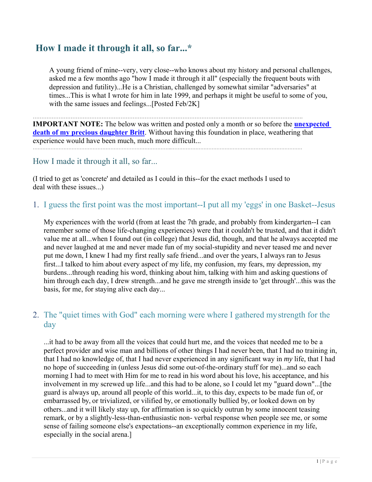# **How I made it through it all, so far...\***

A young friend of mine--very, very close--who knows about my history and personal challenges, asked me a few months ago "how I made it through it all" (especially the frequent bouts with depression and futility)...He is a Christian, challenged by somewhat similar "adversaries" at times...This is what I wrote for him in late 1999, and perhaps it might be useful to some of you, with the same issues and feelings...[Posted Feb/2K]

………………………………………………………………………………………………………………………………………….

**IMPORTANT NOTE:** The below was written and posted only a month or so before the **unexpected death of my precious daughter Britt**. Without having this foundation in place, weathering that experience would have been much, much more difficult... …………………………………………………………………………..………………………………………………………………………

#### How I made it through it all, so far...

(I tried to get as 'concrete' and detailed as I could in this--for the exact methods I used to deal with these issues...)

1. I guess the first point was the most important--I put all my 'eggs' in one Basket--Jesus

My experiences with the world (from at least the 7th grade, and probably from kindergarten--I can remember some of those life-changing experiences) were that it couldn't be trusted, and that it didn't value me at all...when I found out (in college) that Jesus did, though, and that he always accepted me and never laughed at me and never made fun of my social-stupidity and never teased me and never put me down, I knew I had my first really safe friend...and over the years, I always ran to Jesus first...I talked to him about every aspect of my life, my confusion, my fears, my depression, my burdens...through reading his word, thinking about him, talking with him and asking questions of him through each day, I drew strength...and he gave me strength inside to 'get through'...this was the basis, for me, for staying alive each day...

# 2. The "quiet times with God" each morning were where I gathered my strength for the day

...it had to be away from all the voices that could hurt me, and the voices that needed me to be a perfect provider and wise man and billions of other things I had never been, that I had no training in, that I had no knowledge of, that I had never experienced in any significant way in *my* life, that I had no hope of succeeding in (unless Jesus did some out-of-the-ordinary stuff for me)...and so each morning I had to meet with Him for me to read in his word about his love, his acceptance, and his involvement in my screwed up life...and this had to be alone, so I could let my "guard down"...[the guard is always up, around all people of this world...it, to this day, expects to be made fun of, or embarrassed by, or trivialized, or vilified by, or emotionally bullied by, or looked down on by others...and it will likely stay up, for affirmation is so quickly outrun by some innocent teasing remark, or by a slightly-less-than-enthusiastic non- verbal response when people see me, or some sense of failing someone else's expectations--an exceptionally common experience in my life, especially in the social arena.]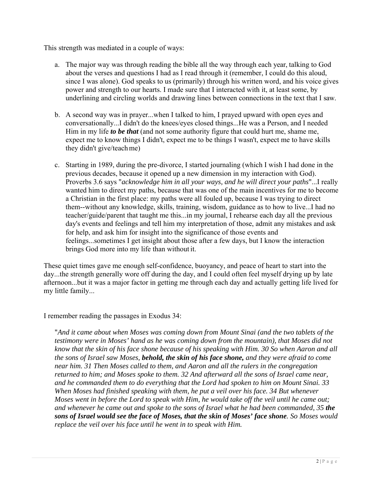This strength was mediated in a couple of ways:

- a. The major way was through reading the bible all the way through each year, talking to God about the verses and questions I had as I read through it (remember, I could do this aloud, since I was alone). God speaks to us (primarily) through his written word, and his voice gives power and strength to our hearts. I made sure that I interacted with it, at least some, by underlining and circling worlds and drawing lines between connections in the text that I saw.
- b. A second way was in prayer...when I talked to him, I prayed upward with open eyes and conversationally...I didn't do the knees/eyes closed things...He was a Person, and I needed Him in my life *to be that* (and not some authority figure that could hurt me, shame me, expect me to know things I didn't, expect me to be things I wasn't, expect me to have skills they didn't give/teach me)
- c. Starting in 1989, during the pre-divorce, I started journaling (which I wish I had done in the previous decades, because it opened up a new dimension in my interaction with God). Proverbs 3.6 says "*acknowledge him in all your ways, and he will direct your paths*"...I really wanted him to direct my paths, because that was one of the main incentives for me to become a Christian in the first place: my paths were all fouled up, because I was trying to direct them--without any knowledge, skills, training, wisdom, guidance as to how to live...I had no teacher/guide/parent that taught me this...in my journal, I rehearse each day all the previous day's events and feelings and tell him my interpretation of those, admit any mistakes and ask for help, and ask him for insight into the significance of those events and feelings...sometimes I get insight about those after a few days, but I know the interaction brings God more into my life than without it.

These quiet times gave me enough self-confidence, buoyancy, and peace of heart to start into the day...the strength generally wore off during the day, and I could often feel myself drying up by late afternoon...but it was a major factor in getting me through each day and actually getting life lived for my little family...

I remember reading the passages in Exodus 34:

"*And it came about when Moses was coming down from Mount Sinai (and the two tablets of the testimony were in Moses' hand as he was coming down from the mountain), that Moses did not know that the skin of his face shone because of his speaking with Him. 30 So when Aaron and all the sons of Israel saw Moses, behold, the skin of his face shone, and they were afraid to come near him. 31 Then Moses called to them, and Aaron and all the rulers in the congregation returned to him; and Moses spoke to them. 32 And afterward all the sons of Israel came near, and he commanded them to do everything that the Lord had spoken to him on Mount Sinai. 33 When Moses had finished speaking with them, he put a veil over his face. 34 But whenever Moses went in before the Lord to speak with Him, he would take off the veil until he came out; and whenever he came out and spoke to the sons of Israel what he had been commanded, 35 the sons of Israel would see the face of Moses, that the skin of Moses' face shone. So Moses would replace the veil over his face until he went in to speak with Him.*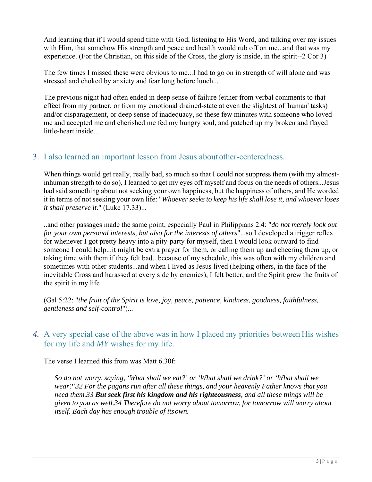And learning that if I would spend time with God, listening to His Word, and talking over my issues with Him, that somehow His strength and peace and health would rub off on me...and that was my experience. (For the Christian, on this side of the Cross, the glory is inside, in the spirit--2 Cor 3)

The few times I missed these were obvious to me...I had to go on in strength of will alone and was stressed and choked by anxiety and fear long before lunch...

The previous night had often ended in deep sense of failure (either from verbal comments to that effect from my partner, or from my emotional drained-state at even the slightest of 'human' tasks) and/or disparagement, or deep sense of inadequacy, so these few minutes with someone who loved me and accepted me and cherished me fed my hungry soul, and patched up my broken and flayed little-heart inside...

# 3. I also learned an important lesson from Jesus about other-centeredness...

When things would get really, really bad, so much so that I could not suppress them (with my almostinhuman strength to do so), I learned to get my eyes off myself and focus on the needs of others...Jesus had said something about not seeking your own happiness, but the happiness of others, and He worded it in terms of not seeking your own life: "*Whoever seeks to keep his life shall lose it, and whoever loses it shall preserve it.*" (Luke 17.33)...

..and other passages made the same point, especially Paul in Philippians 2.4: "*do not merely look out for your own personal interests, but also for the interests of others*"...so I developed a trigger reflex for whenever I got pretty heavy into a pity-party for myself, then I would look outward to find someone I could help...it might be extra prayer for them, or calling them up and cheering them up, or taking time with them if they felt bad...because of my schedule, this was often with my children and sometimes with other students...and when I lived as Jesus lived (helping others, in the face of the inevitable Cross and harassed at every side by enemies), I felt better, and the Spirit grew the fruits of the spirit in my life

(Gal 5:22: "*the fruit of the Spirit is love, joy, peace, patience, kindness, goodness, faithfulness, gentleness and self-control*")...

#### *4.* A very special case of the above was in how I placed my priorities between His wishes for my life and *MY* wishes for my life.

The verse I learned this from was Matt 6.30f:

*So do not worry, saying, 'What shall we eat?' or 'What shall we drink?' or 'What shall we wear?'32 For the pagans run after all these things, and your heavenly Father knows that you need them.33 But seek first his kingdom and his righteousness, and all these things will be given to you as well.34 Therefore do not worry about tomorrow, for tomorrow will worry about itself. Each day has enough trouble of its own.*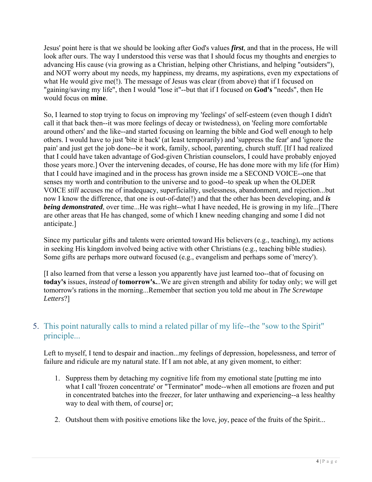Jesus' point here is that we should be looking after God's values *first*, and that in the process, He will look after ours. The way I understood this verse was that I should focus my thoughts and energies to advancing His cause (via growing as a Christian, helping other Christians, and helping "outsiders"), and NOT worry about my needs, my happiness, my dreams, my aspirations, even my expectations of what He would give me(!). The message of Jesus was clear (from above) that if I focused on "gaining/saving my life", then I would "lose it"--but that if I focused on **God's** "needs", then He would focus on **mine**.

So, I learned to stop trying to focus on improving my 'feelings' of self-esteem (even though I didn't call it that back then--it was more feelings of decay or twistedness), on 'feeling more comfortable around others' and the like--and started focusing on learning the bible and God well enough to help others. I would have to just 'bite it back' (at least temporarily) and 'suppress the fear' and 'ignore the pain' and just get the job done--be it work, family, school, parenting, church stuff. [If I had realized that I could have taken advantage of God-given Christian counselors, I could have probably enjoyed those years more.] Over the intervening decades, of course, He has done more with my life (for Him) that I could have imagined and in the process has grown inside me a SECOND VOICE--one that senses my worth and contribution to the universe and to good--to speak up when the OLDER VOICE *still* accuses me of inadequacy, superficiality, uselessness, abandonment, and rejection...but now I know the difference, that one is out-of-date(!) and that the other has been developing, and *is being demonstrated*, over time...He was right--what I have needed, He is growing in my life...[There are other areas that He has changed, some of which I knew needing changing and some I did not anticipate.]

Since my particular gifts and talents were oriented toward His believers (e.g., teaching), my actions in seeking His kingdom involved being active with other Christians (e.g., teaching bible studies). Some gifts are perhaps more outward focused (e.g., evangelism and perhaps some of 'mercy').

[I also learned from that verse a lesson you apparently have just learned too--that of focusing on **today's** issues, *instead of* **tomorrow's.**..We are given strength and ability for today only; we will get tomorrow's rations in the morning...Remember that section you told me about in *The Screwtape Letters*?]

# 5. This point naturally calls to mind a related pillar of my life--the "sow to the Spirit" principle...

Left to myself, I tend to despair and inaction...my feelings of depression, hopelessness, and terror of failure and ridicule are my natural state. If I am not able, at any given moment, to either:

- 1. Suppress them by detaching my cognitive life from my emotional state [putting me into what I call 'frozen concentrate' or "Terminator" mode--when all emotions are frozen and put in concentrated batches into the freezer, for later unthawing and experiencing--a less healthy way to deal with them, of course] or;
- 2. Outshout them with positive emotions like the love, joy, peace of the fruits of the Spirit...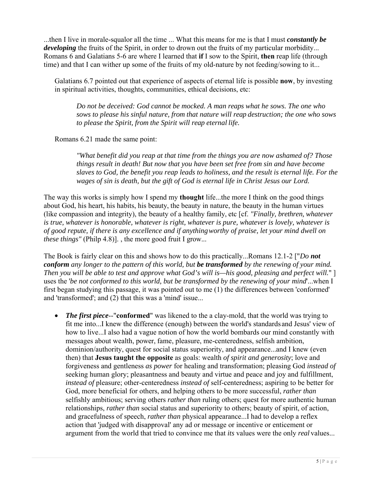...then I live in morale-squalor all the time ... What this means for me is that I must *constantly be developing* the fruits of the Spirit, in order to drown out the fruits of my particular morbidity... Romans 6 and Galatians 5-6 are where I learned that **if** I sow to the Spirit, **then** reap life (through time) and that I can wither up some of the fruits of my old-nature by not feeding/sowing to it...

Galatians 6.7 pointed out that experience of aspects of eternal life is possible **now**, by investing in spiritual activities, thoughts, communities, ethical decisions, etc:

*Do not be deceived: God cannot be mocked. A man reaps what he sows. The one who sows to please his sinful nature, from that nature will reap destruction; the one who sows to please the Spirit, from the Spirit will reap eternal life.* 

Romans 6.21 made the same point:

*"What benefit did you reap at that time from the things you are now ashamed of? Those things result in death! But now that you have been set free from sin and have become slaves to God, the benefit you reap leads to holiness, and the result is eternal life. For the wages of sin is death, but the gift of God is eternal life in Christ Jesus our Lord.* 

The way this works is simply how I spend my **thought** life...the more I think on the good things about God, his heart, his habits, his beauty, the beauty in nature, the beauty in the human virtues (like compassion and integrity), the beauty of a healthy family, etc [cf. *"Finally, brethren, whatever is true, whatever is honorable, whatever is right, whatever is pure, whatever is lovely, whatever is of good repute, if there is any excellence and if anything worthy of praise, let your mind dwell on these things"* (Philp 4.8)]., the more good fruit I grow...

The Book is fairly clear on this and shows how to do this practically...Romans 12.1-2 ["*Do not conform any longer to the pattern of this world, but be transformed by the renewing of your mind. Then you will be able to test and approve what God's will is—his good, pleasing and perfect will.*" ] uses the '*be not conformed to this world, but be transformed by the renewing of your mind*'...when I first began studying this passage, it was pointed out to me (1) the differences between 'conformed' and 'transformed'; and (2) that this was a 'mind' issue...

• **The first piece--"conformed"** was likened to the a clay-mold, that the world was trying to fit me into...I knew the difference (enough) between the world's standards and Jesus' view of how to live...I also had a vague notion of how the world bombards our mind constantly with messages about wealth, power, fame, pleasure, me-centeredness, selfish ambition, dominion/authority, quest for social status superiority, and appearance...and I knew (even then) that **Jesus taught the opposite** as goals: wealth *of spirit and generosity*; love and forgiveness and gentleness *as power* for healing and transformation; pleasing God *instead of*  seeking human glory; pleasantness and beauty and virtue and peace and joy and fulfillment, *instead of* pleasure; other-centeredness *instead of* self-centeredness; aspiring to be better for God, more beneficial for others, and helping others to be more successful, *rather than*  selfishly ambitious; serving others *rather than* ruling others; quest for more authentic human relationships, *rather than* social status and superiority to others; beauty of spirit, of action, and gracefulness of speech, *rather than* physical appearance...I had to develop a reflex action that 'judged with disapproval' any ad or message or incentive or enticement or argument from the world that tried to convince me that *its* values were the only *real* values...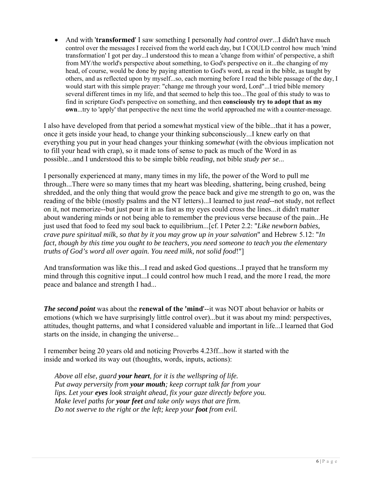And with '**transformed**' I saw something I personally *had control over*...I didn't have much control over the messages I received from the world each day, but I COULD control how much 'mind transformation' I got per day...I understood this to mean a 'change from within' of perspective, a shift from MY/the world's perspective about something, to God's perspective on it...the changing of my head, of course, would be done by paying attention to God's word, as read in the bible, as taught by others, and as reflected upon by myself...so, each morning before I read the bible passage of the day, I would start with this simple prayer: "change me through your word, Lord"...I tried bible memory several different times in my life, and that seemed to help this too...The goal of this study to was to find in scripture God's perspective on something, and then **consciously try to adopt that as my own**...try to 'apply' that perspective the next time the world approached me with a counter-message.

I also have developed from that period a somewhat mystical view of the bible...that it has a power, once it gets inside your head, to change your thinking subconsciously...I knew early on that everything you put in your head changes your thinking *somewhat* (with the obvious implication not to fill your head with crap), so it made tons of sense to pack as much of the Word in as possible...and I understood this to be simple bible *reading*, not bible *study per se*...

I personally experienced at many, many times in my life, the power of the Word to pull me through...There were so many times that my heart was bleeding, shattering, being crushed, being shredded, and the only thing that would grow the peace back and give me strength to go on, was the reading of the bible (mostly psalms and the NT letters)...I learned to just *read*--not study, not reflect on it, not memorize--but just pour it in as fast as my eyes could cross the lines...it didn't matter about wandering minds or not being able to remember the previous verse because of the pain...He just used that food to feed my soul back to equilibrium...[cf. I Peter 2.2: "*Like newborn babies, crave pure spiritual milk, so that by it you may grow up in your salvation*" and Hebrew 5.12: "*In fact, though by this time you ought to be teachers, you need someone to teach you the elementary truths of God's word all over again. You need milk, not solid food*!"]

And transformation was like this...I read and asked God questions...I prayed that he transform my mind through this cognitive input...I could control how much I read, and the more I read, the more peace and balance and strength I had...

*The second point* was about the **renewal of the 'mind**'--it was NOT about behavior or habits or emotions (which we have surprisingly little control over)...but it was about my mind: perspectives, attitudes, thought patterns, and what I considered valuable and important in life...I learned that God starts on the inside, in changing the universe...

I remember being 20 years old and noticing Proverbs 4.23ff...how it started with the inside and worked its way out (thoughts, words, inputs, actions):

*Above all else, guard your heart, for it is the wellspring of life. Put away perversity from your mouth; keep corrupt talk far from your lips. Let your eyes look straight ahead, fix your gaze directly before you. Make level paths for your feet and take only ways that are firm. Do not swerve to the right or the left; keep your foot from evil.*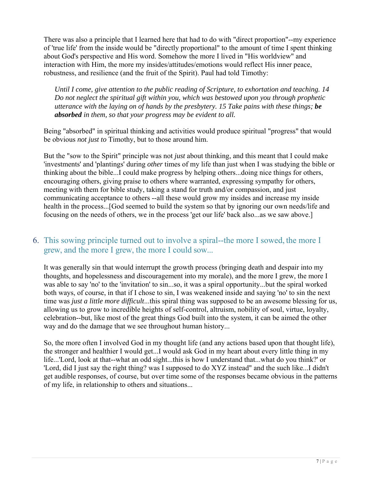There was also a principle that I learned here that had to do with "direct proportion"--my experience of 'true life' from the inside would be "directly proportional" to the amount of time I spent thinking about God's perspective and His word. Somehow the more I lived in "His worldview" and interaction with Him, the more my insides/attitudes/emotions would reflect His inner peace, robustness, and resilience (and the fruit of the Spirit). Paul had told Timothy:

*Until I come, give attention to the public reading of Scripture, to exhortation and teaching. 14 Do not neglect the spiritual gift within you, which was bestowed upon you through prophetic utterance with the laying on of hands by the presbytery. 15 Take pains with these things; be absorbed in them, so that your progress may be evident to all.* 

Being "absorbed" in spiritual thinking and activities would produce spiritual "progress" that would be obvious *not just to* Timothy, but to those around him.

But the "sow to the Spirit" principle was not *just* about thinking, and this meant that I could make 'investments' and 'plantings' during *other* times of my life than just when I was studying the bible or thinking about the bible...I could make progress by helping others...doing nice things for others, encouraging others, giving praise to others where warranted, expressing sympathy for others, meeting with them for bible study, taking a stand for truth and/or compassion, and just communicating acceptance to others --all these would grow my insides and increase my inside health in the process...[God seemed to build the system so that by ignoring our own needs/life and focusing on the needs of others, we in the process 'get our life' back also...as we saw above.]

# 6. This sowing principle turned out to involve a spiral--the more I sowed, the more I grew, and the more I grew, the more I could sow...

It was generally sin that would interrupt the growth process (bringing death and despair into my thoughts, and hopelessness and discouragement into my morale), and the more I grew, the more I was able to say 'no' to the 'invitation' to sin...so, it was a spiral opportunity...but the spiral worked both ways, of course, in that if I chose to sin, I was weakened inside and saying 'no' to sin the next time was *just a little more difficult*...this spiral thing was supposed to be an awesome blessing for us, allowing us to grow to incredible heights of self-control, altruism, nobility of soul, virtue, loyalty, celebration--but, like most of the great things God built into the system, it can be aimed the other way and do the damage that we see throughout human history...

So, the more often I involved God in my thought life (and any actions based upon that thought life), the stronger and healthier I would get...I would ask God in my heart about every little thing in my life...'Lord, look at that--what an odd sight...this is how I understand that...what do you think?' or 'Lord, did I just say the right thing? was I supposed to do XYZ instead" and the such like...I didn't get audible responses, of course, but over time some of the responses became obvious in the patterns of my life, in relationship to others and situations...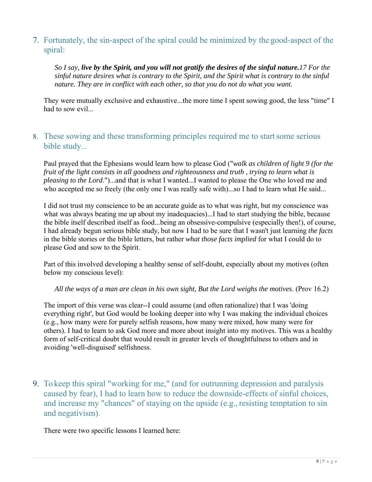# 7. Fortunately, the sin-aspect of the spiral could be minimized by the good-aspect of the spiral:

*So I say, live by the Spirit, and you will not gratify the desires of the sinful nature.17 For the sinful nature desires what is contrary to the Spirit, and the Spirit what is contrary to the sinful*  nature. They are in conflict with each other, so that you do not do what you want.

They were mutually exclusive and exhaustive...the more time I spent sowing good, the less "time" I had to sow evil...

#### 8. These sowing and these transforming principles required me to start some serious bible study...

Paul prayed that the Ephesians would learn how to please God ("*walk as children of light 9 (for the fruit of the light consists in all goodness and righteousness and truth , trying to learn what is pleasing to the Lord*.")...and that is what I wanted...I wanted to please the One who loved me and who accepted me so freely (the only one I was really safe with)...so I had to learn what He said...

I did not trust my conscience to be an accurate guide as to what was right, but my conscience was what was always beating me up about my inadequacies)...I had to start studying the bible, because the bible itself described itself as food...being an obsessive-compulsive (especially then!), of course, I had already begun serious bible study, but now I had to be sure that I wasn't just learning *the facts*  in the bible stories or the bible letters, but rather *what those facts implied* for what I could do to please God and sow to the Spirit.

Part of this involved developing a healthy sense of self-doubt, especially about my motives (often below my conscious level):

*All the ways of a man are clean in his own sight, But the Lord weighs the motives*. (Prov 16.2)

The import of this verse was clear--I could assume (and often rationalize) that I was 'doing everything right', but God would be looking deeper into why I was making the individual choices (e.g., how many were for purely selfish reasons, how many were mixed, how many were for others). I had to learn to ask God more and more about insight into my motives. This was a healthy form of self-critical doubt that would result in greater levels of thoughtfulness to others and in avoiding 'well-disguised' selfishness.

9. To keep this spiral "working for me," (and for outrunning depression and paralysis caused by fear), I had to learn how to reduce the downside-effects of sinful choices, and increase my "chances" of staying on the upside (e.g., resisting temptation to sin and negativism).

There were two specific lessons I learned here: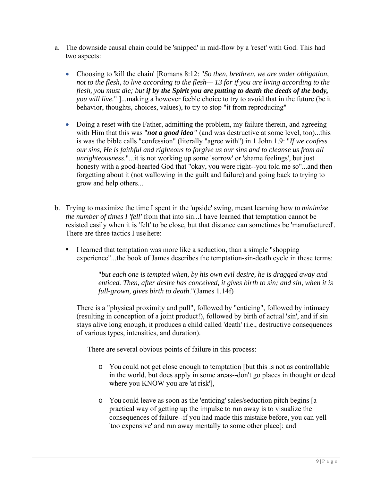- a. The downside causal chain could be 'snipped' in mid-flow by a 'reset' with God. This had two aspects:
	- Choosing to 'kill the chain' [Romans 8:12: "*So then, brethren, we are under obligation, not to the flesh, to live according to the flesh— 13 for if you are living according to the flesh, you must die; but if by the Spirit you are putting to death the deeds of the body, you will live.*" ]...making a however feeble choice to try to avoid that in the future (be it behavior, thoughts, choices, values), to try to stop "it from reproducing"
	- Doing a reset with the Father, admitting the problem, my failure therein, and agreeing with Him that this was "*not a good idea"* (and was destructive at some level, too)...this is was the bible calls "confession" (literally "agree with") in 1 John 1.9: "*If we confess our sins, He is faithful and righteous to forgive us our sins and to cleanse us from all unrighteousness*."...it is not working up some 'sorrow' or 'shame feelings', but just honesty with a good-hearted God that "okay, you were right--you told me so"...and then forgetting about it (not wallowing in the guilt and failure) and going back to trying to grow and help others...
- b. Trying to maximize the time I spent in the 'upside' swing, meant learning how *to minimize the number of times I 'fell'* from that into sin...I have learned that temptation cannot be resisted easily when it is 'felt' to be close, but that distance can sometimes be 'manufactured'. There are three tactics I use here:
	- I learned that temptation was more like a seduction, than a simple "shopping" experience"...the book of James describes the temptation-sin-death cycle in these terms:

"*but each one is tempted when, by his own evil desire, he is dragged away and enticed. Then, after desire has conceived, it gives birth to sin; and sin, when it is full-grown, gives birth to death*."(James 1.14f)

There is a "physical proximity and pull", followed by "enticing", followed by intimacy (resulting in conception of a joint product!), followed by birth of actual 'sin', and if sin stays alive long enough, it produces a child called 'death' (i.e., destructive consequences of various types, intensities, and duration).

There are several obvious points of failure in this process:

- o You could not get close enough to temptation [but this is not as controllable in the world, but does apply in some areas--don't go places in thought or deed where you KNOW you are 'at risk'],
- o You could leave as soon as the 'enticing' sales/seduction pitch begins [a practical way of getting up the impulse to run away is to visualize the consequences of failure--if you had made this mistake before, you can yell 'too expensive' and run away mentally to some other place]; and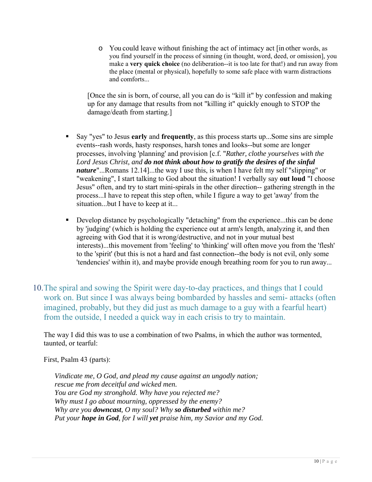o You could leave without finishing the act of intimacy act [in other words, as you find yourself in the process of sinning (in thought, word, deed, or omission], you make a **very quick choice** (no deliberation--it is too late for that!) and run away from the place (mental or physical), hopefully to some safe place with warm distractions and comforts...

[Once the sin is born, of course, all you can do is "kill it" by confession and making up for any damage that results from not "killing it" quickly enough to STOP the damage/death from starting.]

- Say "yes" to Jesus **early** and **frequently**, as this process starts up...Some sins are simple events--rash words, hasty responses, harsh tones and looks--but some are longer processes, involving 'planning' and provision [c.f. "*Rather, clothe yourselves with the Lord Jesus Christ, and do not think about how to gratify the desires of the sinful nature*"...Romans 12.14]...the way I use this, is when I have felt my self "slipping" or "weakening", I start talking to God about the situation! I verbally say **out loud** "I choose Jesus" often, and try to start mini-spirals in the other direction-- gathering strength in the process...I have to repeat this step often, while I figure a way to get 'away' from the situation...but I have to keep at it...
- Develop distance by psychologically "detaching" from the experience...this can be done by 'judging' (which is holding the experience out at arm's length, analyzing it, and then agreeing with God that it is wrong/destructive, and not in your mutual best interests)...this movement from 'feeling' to 'thinking' will often move you from the 'flesh' to the 'spirit' (but this is not a hard and fast connection--the body is not evil, only some 'tendencies' within it), and maybe provide enough breathing room for you to run away...
- 10.The spiral and sowing the Spirit were day-to-day practices, and things that I could work on. But since I was always being bombarded by hassles and semi- attacks (often imagined, probably, but they did just as much damage to a guy with a fearful heart) from the outside, I needed a quick way in each crisis to try to maintain.

The way I did this was to use a combination of two Psalms, in which the author was tormented, taunted, or tearful:

First, Psalm 43 (parts):

*Vindicate me, O God, and plead my cause against an ungodly nation; rescue me from deceitful and wicked men. You are God my stronghold. Why have you rejected me? Why must I go about mourning, oppressed by the enemy? Why are you downcast, O my soul? Why so disturbed within me? Put your hope in God, for I will yet praise him, my Savior and my God.*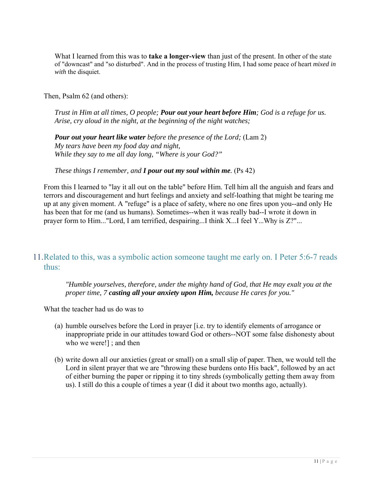What I learned from this was to **take a longer-view** than just of the present. In other of the state of "downcast" and "so disturbed". And in the process of trusting Him, I had some peace of heart *mixed in with* the disquiet.

Then, Psalm 62 (and others):

*Trust in Him at all times, O people; Pour out your heart before Him; God is a refuge for us. Arise, cry aloud in the night, at the beginning of the night watches;* 

*Pour out your heart like water before the presence of the Lord;* (Lam 2) *My tears have been my food day and night, While they say to me all day long, "Where is your God?"* 

*These things I remember, and <i>I pour out my soul within me.* (Ps 42)

From this I learned to "lay it all out on the table" before Him. Tell him all the anguish and fears and terrors and discouragement and hurt feelings and anxiety and self-loathing that might be tearing me up at any given moment. A "refuge" is a place of safety, where no one fires upon you--and only He has been that for me (and us humans). Sometimes--when it was really bad--I wrote it down in prayer form to Him..."Lord, I am terrified, despairing...I think X...I feel Y...Why is Z?"...

# 11.Related to this, was a symbolic action someone taught me early on. I Peter 5:6-7 reads thus:

*"Humble yourselves, therefore, under the mighty hand of God, that He may exalt you at the proper time, 7 casting all your anxiety upon Him, because He cares for you."* 

What the teacher had us do was to

- (a) humble ourselves before the Lord in prayer [i.e. try to identify elements of arrogance or inappropriate pride in our attitudes toward God or others--NOT some false dishonesty about who we were!] ; and then
- (b) write down all our anxieties (great or small) on a small slip of paper. Then, we would tell the Lord in silent prayer that we are "throwing these burdens onto His back", followed by an act of either burning the paper or ripping it to tiny shreds (symbolically getting them away from us). I still do this a couple of times a year (I did it about two months ago, actually).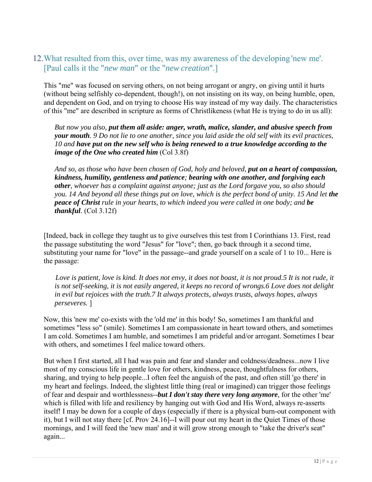# 12.What resulted from this, over time, was my awareness of the developing 'new me'. [Paul calls it the "*new man*" or the "*new creation*".]

This "me" was focused on serving others, on not being arrogant or angry, on giving until it hurts (without being selfishly co-dependent, though!), on not insisting on its way, on being humble, open, and dependent on God, and on trying to choose His way instead of my way daily. The characteristics of this "me" are described in scripture as forms of Christlikeness (what He is trying to do in us all):

*But now you also, put them all aside: anger, wrath, malice, slander, and abusive speech from your mouth. 9 Do not lie to one another, since you laid aside the old self with its evil practices, 10 and have put on the new self who is being renewed to a true knowledge according to the image of the One who created him* (Col 3.8f)

*And so, as those who have been chosen of God, holy and beloved, put on a heart of compassion, kindness, humility, gentleness and patience; bearing with one another, and forgiving each other, whoever has a complaint against anyone; just as the Lord forgave you, so also should you.* 14 And beyond all these things put on love, which is the perfect bond of unity. 15 And let the *peace of Christ rule in your hearts, to which indeed you were called in one body; and be thankful.* (Col 3.12f)

[Indeed, back in college they taught us to give ourselves this test from I Corinthians 13. First, read the passage substituting the word "Jesus" for "love"; then, go back through it a second time, substituting your name for "love" in the passage--and grade yourself on a scale of 1 to 10... Here is the passage:

*Love is patient, love is kind. It does not envy, it does not boast, it is not proud.5 It is not rude, it is not self-seeking, it is not easily angered, it keeps no record of wrongs.6 Love does not delight in evil but rejoices with the truth.7 It always protects, always trusts, always hopes, always perseveres.* ]

Now, this 'new me' co-exists with the 'old me' in this body! So, sometimes I am thankful and sometimes "less so" (smile). Sometimes I am compassionate in heart toward others, and sometimes I am cold. Sometimes I am humble, and sometimes I am prideful and/or arrogant. Sometimes I bear with others, and sometimes I feel malice toward others.

But when I first started, all I had was pain and fear and slander and coldness/deadness...now I live most of my conscious life in gentle love for others, kindness, peace, thoughtfulness for others, sharing, and trying to help people...I often feel the anguish of the past, and often still 'go there' in my heart and feelings. Indeed, the slightest little thing (real or imagined) can trigger those feelings of fear and despair and worthlessness--*but I don't stay there very long anymore*, for the other 'me' which is filled with life and resiliency by hanging out with God and His Word, always re-asserts itself! I may be down for a couple of days (especially if there is a physical burn-out component with it), but I will not stay there [cf. Prov 24.16]--I will pour out my heart in the Quiet Times of those mornings, and I will feed the 'new man' and it will grow strong enough to "take the driver's seat" again...